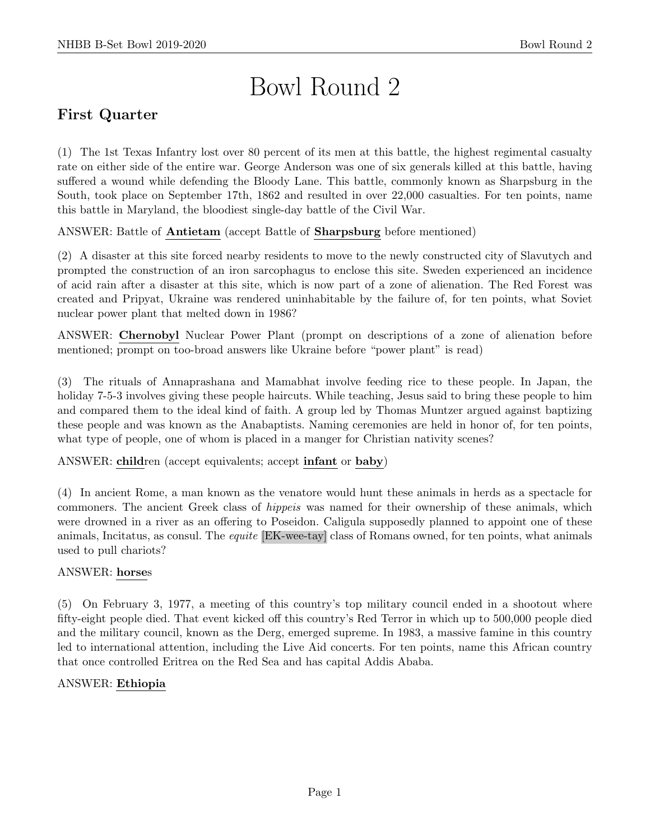# Bowl Round 2

# First Quarter

(1) The 1st Texas Infantry lost over 80 percent of its men at this battle, the highest regimental casualty rate on either side of the entire war. George Anderson was one of six generals killed at this battle, having suffered a wound while defending the Bloody Lane. This battle, commonly known as Sharpsburg in the South, took place on September 17th, 1862 and resulted in over 22,000 casualties. For ten points, name this battle in Maryland, the bloodiest single-day battle of the Civil War.

ANSWER: Battle of Antietam (accept Battle of Sharpsburg before mentioned)

(2) A disaster at this site forced nearby residents to move to the newly constructed city of Slavutych and prompted the construction of an iron sarcophagus to enclose this site. Sweden experienced an incidence of acid rain after a disaster at this site, which is now part of a zone of alienation. The Red Forest was created and Pripyat, Ukraine was rendered uninhabitable by the failure of, for ten points, what Soviet nuclear power plant that melted down in 1986?

ANSWER: Chernobyl Nuclear Power Plant (prompt on descriptions of a zone of alienation before mentioned; prompt on too-broad answers like Ukraine before "power plant" is read)

(3) The rituals of Annaprashana and Mamabhat involve feeding rice to these people. In Japan, the holiday 7-5-3 involves giving these people haircuts. While teaching, Jesus said to bring these people to him and compared them to the ideal kind of faith. A group led by Thomas Muntzer argued against baptizing these people and was known as the Anabaptists. Naming ceremonies are held in honor of, for ten points, what type of people, one of whom is placed in a manger for Christian nativity scenes?

ANSWER: children (accept equivalents; accept infant or baby)

(4) In ancient Rome, a man known as the venatore would hunt these animals in herds as a spectacle for commoners. The ancient Greek class of hippeis was named for their ownership of these animals, which were drowned in a river as an offering to Poseidon. Caligula supposedly planned to appoint one of these animals, Incitatus, as consul. The equite [EK-wee-tay] class of Romans owned, for ten points, what animals used to pull chariots?

# ANSWER: horses

(5) On February 3, 1977, a meeting of this country's top military council ended in a shootout where fifty-eight people died. That event kicked off this country's Red Terror in which up to 500,000 people died and the military council, known as the Derg, emerged supreme. In 1983, a massive famine in this country led to international attention, including the Live Aid concerts. For ten points, name this African country that once controlled Eritrea on the Red Sea and has capital Addis Ababa.

# ANSWER: Ethiopia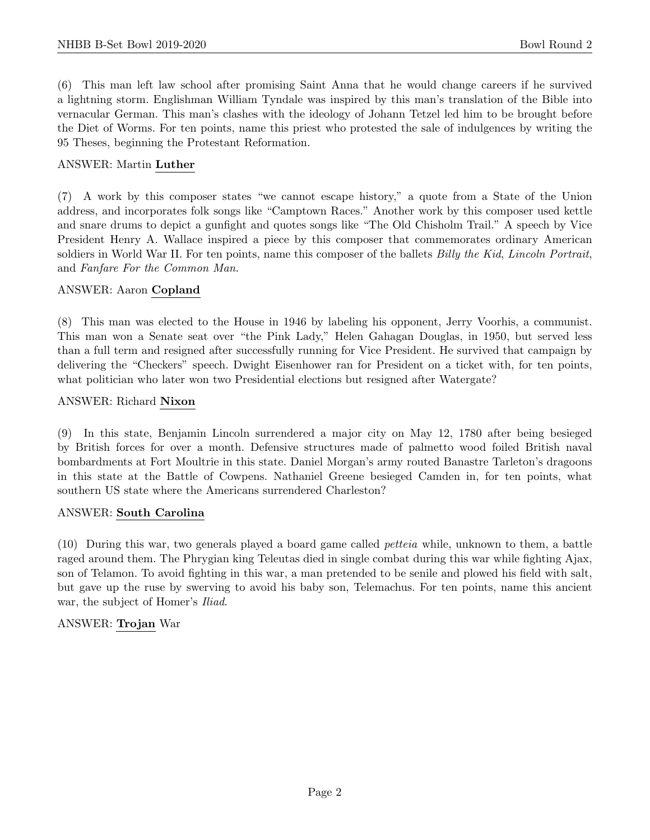(6) This man left law school after promising Saint Anna that he would change careers if he survived a lightning storm. Englishman William Tyndale was inspired by this man's translation of the Bible into vernacular German. This man's clashes with the ideology of Johann Tetzel led him to be brought before the Diet of Worms. For ten points, name this priest who protested the sale of indulgences by writing the 95 Theses, beginning the Protestant Reformation.

## ANSWER: Martin Luther

(7) A work by this composer states "we cannot escape history," a quote from a State of the Union address, and incorporates folk songs like "Camptown Races." Another work by this composer used kettle and snare drums to depict a gunfight and quotes songs like "The Old Chisholm Trail." A speech by Vice President Henry A. Wallace inspired a piece by this composer that commemorates ordinary American soldiers in World War II. For ten points, name this composer of the ballets *Billy the Kid, Lincoln Portrait*, and Fanfare For the Common Man.

#### ANSWER: Aaron Copland

(8) This man was elected to the House in 1946 by labeling his opponent, Jerry Voorhis, a communist. This man won a Senate seat over "the Pink Lady," Helen Gahagan Douglas, in 1950, but served less than a full term and resigned after successfully running for Vice President. He survived that campaign by delivering the "Checkers" speech. Dwight Eisenhower ran for President on a ticket with, for ten points, what politician who later won two Presidential elections but resigned after Watergate?

#### ANSWER: Richard Nixon

(9) In this state, Benjamin Lincoln surrendered a major city on May 12, 1780 after being besieged by British forces for over a month. Defensive structures made of palmetto wood foiled British naval bombardments at Fort Moultrie in this state. Daniel Morgan's army routed Banastre Tarleton's dragoons in this state at the Battle of Cowpens. Nathaniel Greene besieged Camden in, for ten points, what southern US state where the Americans surrendered Charleston?

#### ANSWER: South Carolina

(10) During this war, two generals played a board game called petteia while, unknown to them, a battle raged around them. The Phrygian king Teleutas died in single combat during this war while fighting Ajax, son of Telamon. To avoid fighting in this war, a man pretended to be senile and plowed his field with salt, but gave up the ruse by swerving to avoid his baby son, Telemachus. For ten points, name this ancient war, the subject of Homer's *Iliad*.

# ANSWER: Trojan War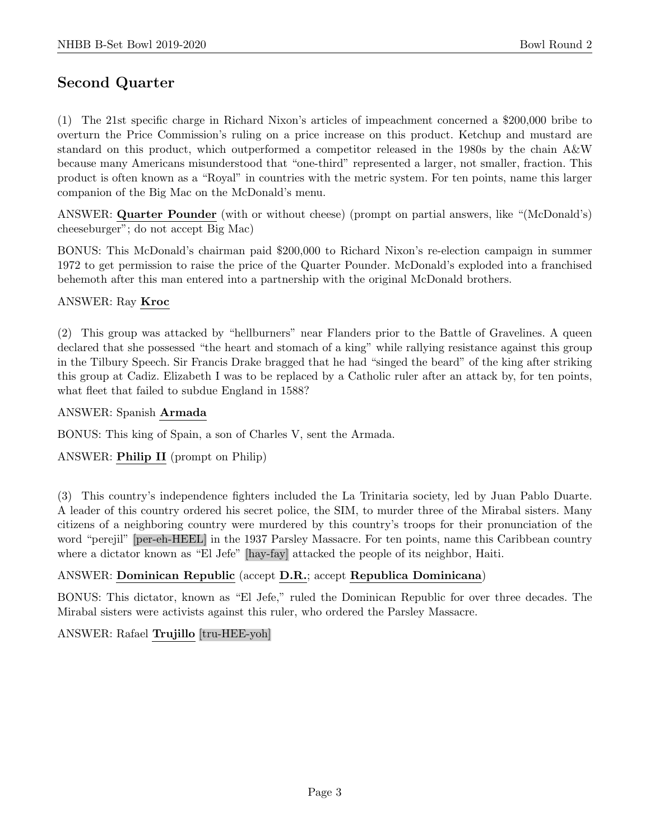# Second Quarter

(1) The 21st specific charge in Richard Nixon's articles of impeachment concerned a \$200,000 bribe to overturn the Price Commission's ruling on a price increase on this product. Ketchup and mustard are standard on this product, which outperformed a competitor released in the 1980s by the chain A&W because many Americans misunderstood that "one-third" represented a larger, not smaller, fraction. This product is often known as a "Royal" in countries with the metric system. For ten points, name this larger companion of the Big Mac on the McDonald's menu.

ANSWER: Quarter Pounder (with or without cheese) (prompt on partial answers, like "(McDonald's) cheeseburger"; do not accept Big Mac)

BONUS: This McDonald's chairman paid \$200,000 to Richard Nixon's re-election campaign in summer 1972 to get permission to raise the price of the Quarter Pounder. McDonald's exploded into a franchised behemoth after this man entered into a partnership with the original McDonald brothers.

# ANSWER: Ray Kroc

(2) This group was attacked by "hellburners" near Flanders prior to the Battle of Gravelines. A queen declared that she possessed "the heart and stomach of a king" while rallying resistance against this group in the Tilbury Speech. Sir Francis Drake bragged that he had "singed the beard" of the king after striking this group at Cadiz. Elizabeth I was to be replaced by a Catholic ruler after an attack by, for ten points, what fleet that failed to subdue England in 1588?

#### ANSWER: Spanish Armada

BONUS: This king of Spain, a son of Charles V, sent the Armada.

# ANSWER: Philip II (prompt on Philip)

(3) This country's independence fighters included the La Trinitaria society, led by Juan Pablo Duarte. A leader of this country ordered his secret police, the SIM, to murder three of the Mirabal sisters. Many citizens of a neighboring country were murdered by this country's troops for their pronunciation of the word "perejil" [per-eh-HEEL] in the 1937 Parsley Massacre. For ten points, name this Caribbean country where a dictator known as "El Jefe" [hay-fay] attacked the people of its neighbor, Haiti.

# ANSWER: Dominican Republic (accept D.R.; accept Republica Dominicana)

BONUS: This dictator, known as "El Jefe," ruled the Dominican Republic for over three decades. The Mirabal sisters were activists against this ruler, who ordered the Parsley Massacre.

# ANSWER: Rafael Trujillo [tru-HEE-yoh]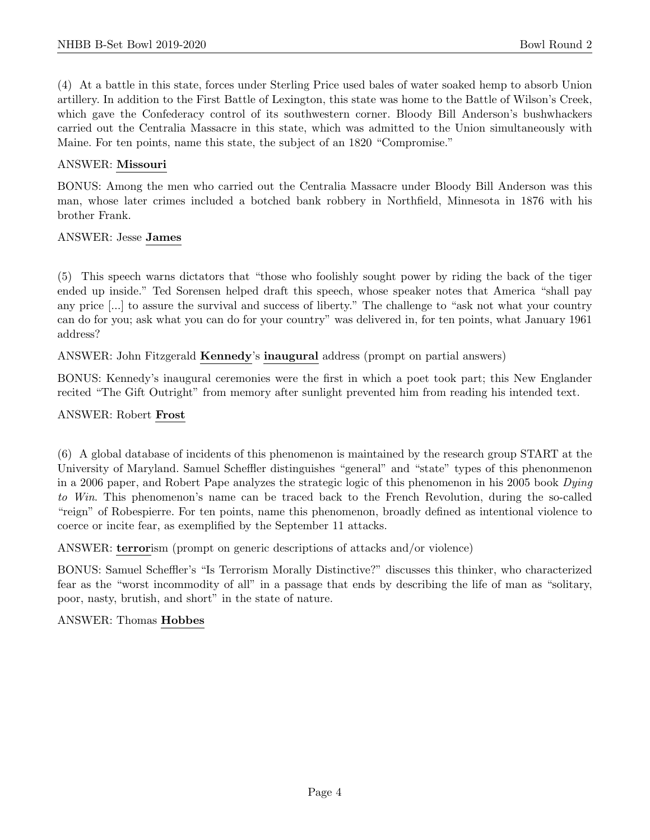(4) At a battle in this state, forces under Sterling Price used bales of water soaked hemp to absorb Union artillery. In addition to the First Battle of Lexington, this state was home to the Battle of Wilson's Creek, which gave the Confederacy control of its southwestern corner. Bloody Bill Anderson's bushwhackers carried out the Centralia Massacre in this state, which was admitted to the Union simultaneously with Maine. For ten points, name this state, the subject of an 1820 "Compromise."

## ANSWER: Missouri

BONUS: Among the men who carried out the Centralia Massacre under Bloody Bill Anderson was this man, whose later crimes included a botched bank robbery in Northfield, Minnesota in 1876 with his brother Frank.

#### ANSWER: Jesse James

(5) This speech warns dictators that "those who foolishly sought power by riding the back of the tiger ended up inside." Ted Sorensen helped draft this speech, whose speaker notes that America "shall pay any price [...] to assure the survival and success of liberty." The challenge to "ask not what your country can do for you; ask what you can do for your country" was delivered in, for ten points, what January 1961 address?

ANSWER: John Fitzgerald Kennedy's inaugural address (prompt on partial answers)

BONUS: Kennedy's inaugural ceremonies were the first in which a poet took part; this New Englander recited "The Gift Outright" from memory after sunlight prevented him from reading his intended text.

#### ANSWER: Robert Frost

(6) A global database of incidents of this phenomenon is maintained by the research group START at the University of Maryland. Samuel Scheffler distinguishes "general" and "state" types of this phenonmenon in a 2006 paper, and Robert Pape analyzes the strategic logic of this phenomenon in his 2005 book Dying to Win. This phenomenon's name can be traced back to the French Revolution, during the so-called "reign" of Robespierre. For ten points, name this phenomenon, broadly defined as intentional violence to coerce or incite fear, as exemplified by the September 11 attacks.

ANSWER: terrorism (prompt on generic descriptions of attacks and/or violence)

BONUS: Samuel Scheffler's "Is Terrorism Morally Distinctive?" discusses this thinker, who characterized fear as the "worst incommodity of all" in a passage that ends by describing the life of man as "solitary, poor, nasty, brutish, and short" in the state of nature.

#### ANSWER: Thomas Hobbes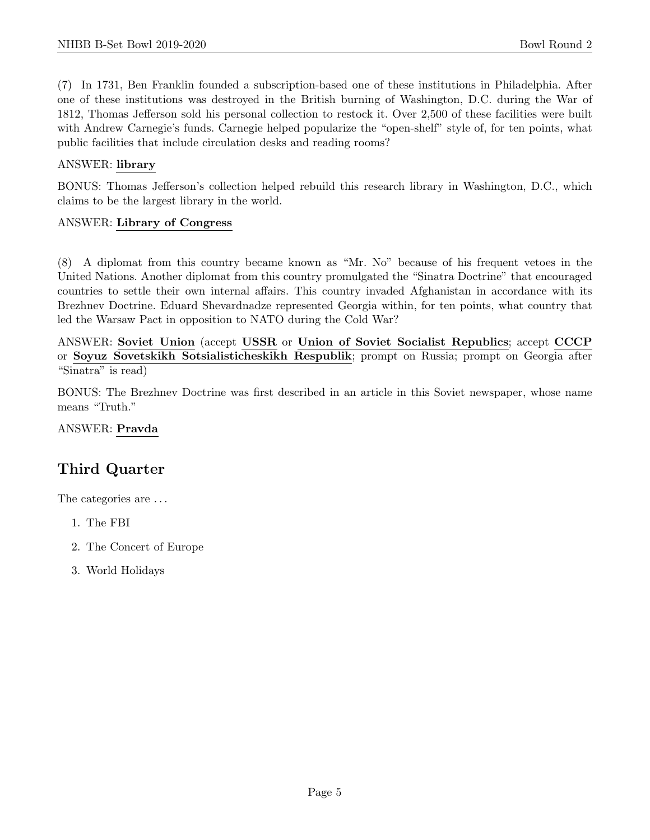(7) In 1731, Ben Franklin founded a subscription-based one of these institutions in Philadelphia. After one of these institutions was destroyed in the British burning of Washington, D.C. during the War of 1812, Thomas Jefferson sold his personal collection to restock it. Over 2,500 of these facilities were built with Andrew Carnegie's funds. Carnegie helped popularize the "open-shelf" style of, for ten points, what public facilities that include circulation desks and reading rooms?

# ANSWER: library

BONUS: Thomas Jefferson's collection helped rebuild this research library in Washington, D.C., which claims to be the largest library in the world.

#### ANSWER: Library of Congress

(8) A diplomat from this country became known as "Mr. No" because of his frequent vetoes in the United Nations. Another diplomat from this country promulgated the "Sinatra Doctrine" that encouraged countries to settle their own internal affairs. This country invaded Afghanistan in accordance with its Brezhnev Doctrine. Eduard Shevardnadze represented Georgia within, for ten points, what country that led the Warsaw Pact in opposition to NATO during the Cold War?

ANSWER: Soviet Union (accept USSR or Union of Soviet Socialist Republics; accept CCCP or Soyuz Sovetskikh Sotsialisticheskikh Respublik; prompt on Russia; prompt on Georgia after "Sinatra" is read)

BONUS: The Brezhnev Doctrine was first described in an article in this Soviet newspaper, whose name means "Truth."

ANSWER: Pravda

# Third Quarter

The categories are  $\dots$ 

- 1. The FBI
- 2. The Concert of Europe
- 3. World Holidays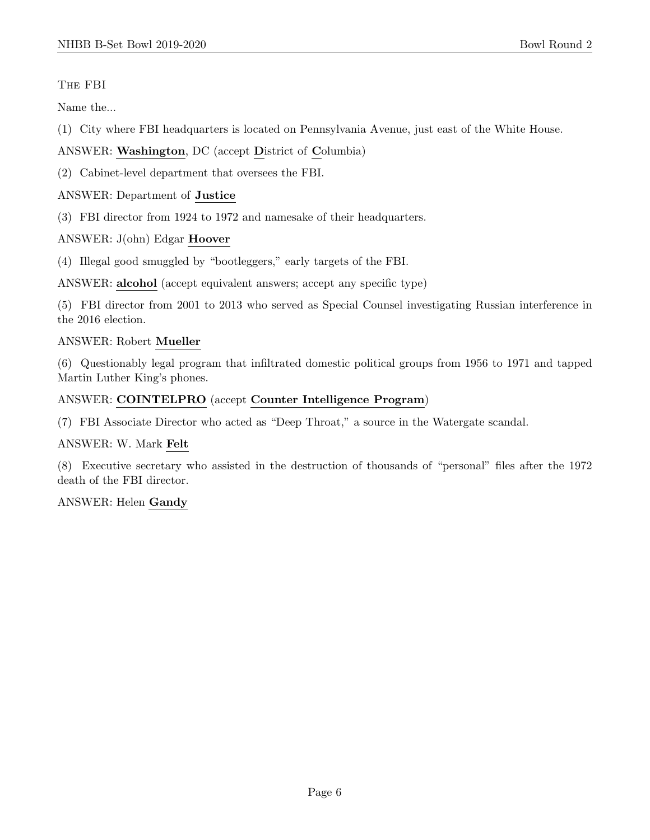# The FBI

Name the...

- (1) City where FBI headquarters is located on Pennsylvania Avenue, just east of the White House.
- ANSWER: Washington, DC (accept District of Columbia)
- (2) Cabinet-level department that oversees the FBI.

#### ANSWER: Department of Justice

(3) FBI director from 1924 to 1972 and namesake of their headquarters.

ANSWER: J(ohn) Edgar Hoover

(4) Illegal good smuggled by "bootleggers," early targets of the FBI.

ANSWER: alcohol (accept equivalent answers; accept any specific type)

(5) FBI director from 2001 to 2013 who served as Special Counsel investigating Russian interference in the 2016 election.

#### ANSWER: Robert Mueller

(6) Questionably legal program that infiltrated domestic political groups from 1956 to 1971 and tapped Martin Luther King's phones.

#### ANSWER: COINTELPRO (accept Counter Intelligence Program)

(7) FBI Associate Director who acted as "Deep Throat," a source in the Watergate scandal.

ANSWER: W. Mark Felt

(8) Executive secretary who assisted in the destruction of thousands of "personal" files after the 1972 death of the FBI director.

ANSWER: Helen Gandy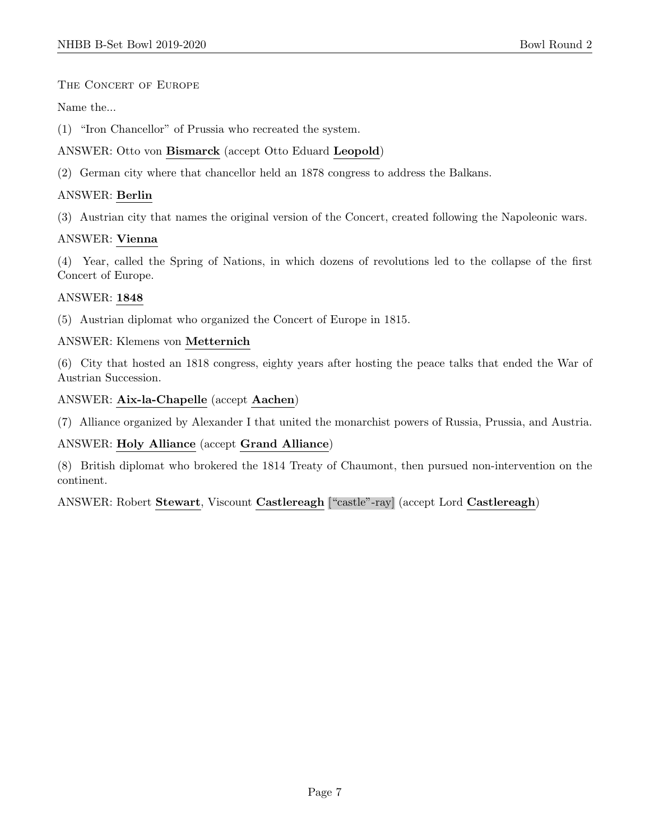#### THE CONCERT OF EUROPE

Name the...

(1) "Iron Chancellor" of Prussia who recreated the system.

# ANSWER: Otto von Bismarck (accept Otto Eduard Leopold)

(2) German city where that chancellor held an 1878 congress to address the Balkans.

## ANSWER: Berlin

(3) Austrian city that names the original version of the Concert, created following the Napoleonic wars.

#### ANSWER: Vienna

(4) Year, called the Spring of Nations, in which dozens of revolutions led to the collapse of the first Concert of Europe.

#### ANSWER: 1848

(5) Austrian diplomat who organized the Concert of Europe in 1815.

#### ANSWER: Klemens von Metternich

(6) City that hosted an 1818 congress, eighty years after hosting the peace talks that ended the War of Austrian Succession.

#### ANSWER: Aix-la-Chapelle (accept Aachen)

(7) Alliance organized by Alexander I that united the monarchist powers of Russia, Prussia, and Austria.

# ANSWER: Holy Alliance (accept Grand Alliance)

(8) British diplomat who brokered the 1814 Treaty of Chaumont, then pursued non-intervention on the continent.

ANSWER: Robert Stewart, Viscount Castlereagh ["castle"-ray] (accept Lord Castlereagh)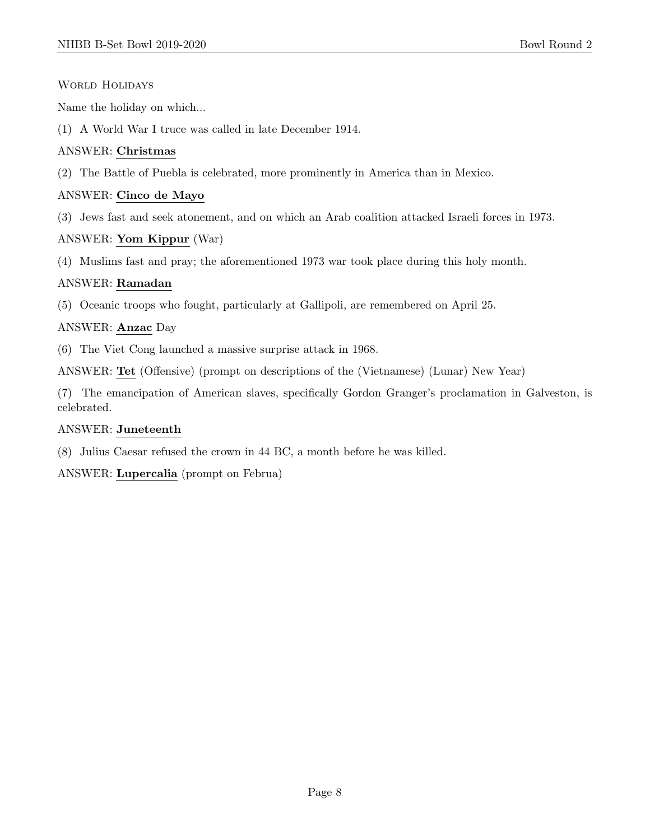#### WORLD HOLIDAYS

Name the holiday on which...

(1) A World War I truce was called in late December 1914.

# ANSWER: Christmas

(2) The Battle of Puebla is celebrated, more prominently in America than in Mexico.

# ANSWER: Cinco de Mayo

(3) Jews fast and seek atonement, and on which an Arab coalition attacked Israeli forces in 1973.

# ANSWER: Yom Kippur (War)

(4) Muslims fast and pray; the aforementioned 1973 war took place during this holy month.

# ANSWER: Ramadan

(5) Oceanic troops who fought, particularly at Gallipoli, are remembered on April 25.

# ANSWER: Anzac Day

(6) The Viet Cong launched a massive surprise attack in 1968.

ANSWER: Tet (Offensive) (prompt on descriptions of the (Vietnamese) (Lunar) New Year)

(7) The emancipation of American slaves, specifically Gordon Granger's proclamation in Galveston, is celebrated.

# ANSWER: Juneteenth

(8) Julius Caesar refused the crown in 44 BC, a month before he was killed.

ANSWER: Lupercalia (prompt on Februa)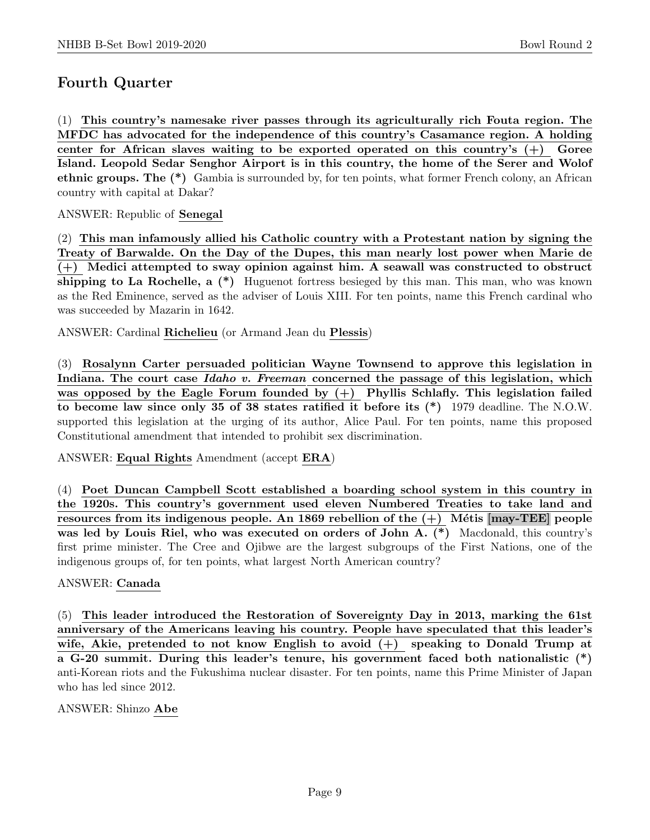# Fourth Quarter

(1) This country's namesake river passes through its agriculturally rich Fouta region. The MFDC has advocated for the independence of this country's Casamance region. A holding center for African slaves waiting to be exported operated on this country's  $(+)$  Goree Island. Leopold Sedar Senghor Airport is in this country, the home of the Serer and Wolof ethnic groups. The (\*) Gambia is surrounded by, for ten points, what former French colony, an African country with capital at Dakar?

# ANSWER: Republic of Senegal

(2) This man infamously allied his Catholic country with a Protestant nation by signing the Treaty of Barwalde. On the Day of the Dupes, this man nearly lost power when Marie de (+) Medici attempted to sway opinion against him. A seawall was constructed to obstruct shipping to La Rochelle, a (\*) Huguenot fortress besieged by this man. This man, who was known as the Red Eminence, served as the adviser of Louis XIII. For ten points, name this French cardinal who was succeeded by Mazarin in 1642.

ANSWER: Cardinal Richelieu (or Armand Jean du Plessis)

(3) Rosalynn Carter persuaded politician Wayne Townsend to approve this legislation in Indiana. The court case Idaho v. Freeman concerned the passage of this legislation, which was opposed by the Eagle Forum founded by  $(+)$  Phyllis Schlafly. This legislation failed to become law since only 35 of 38 states ratified it before its (\*) 1979 deadline. The N.O.W. supported this legislation at the urging of its author, Alice Paul. For ten points, name this proposed Constitutional amendment that intended to prohibit sex discrimination.

ANSWER: Equal Rights Amendment (accept ERA)

(4) Poet Duncan Campbell Scott established a boarding school system in this country in the 1920s. This country's government used eleven Numbered Treaties to take land and resources from its indigenous people. An 1869 rebellion of the  $(+)$  Métis [may-TEE] people was led by Louis Riel, who was executed on orders of John A.  $(*)$  Macdonald, this country's first prime minister. The Cree and Ojibwe are the largest subgroups of the First Nations, one of the indigenous groups of, for ten points, what largest North American country?

# ANSWER: Canada

(5) This leader introduced the Restoration of Sovereignty Day in 2013, marking the 61st anniversary of the Americans leaving his country. People have speculated that this leader's wife, Akie, pretended to not know English to avoid  $(+)$  speaking to Donald Trump at a G-20 summit. During this leader's tenure, his government faced both nationalistic (\*) anti-Korean riots and the Fukushima nuclear disaster. For ten points, name this Prime Minister of Japan who has led since 2012.

ANSWER: Shinzo Abe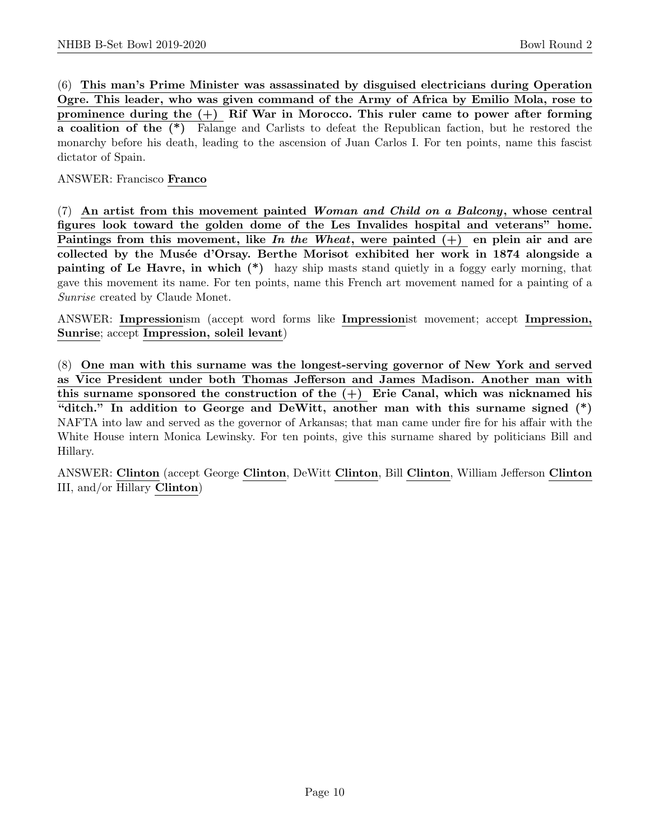(6) This man's Prime Minister was assassinated by disguised electricians during Operation Ogre. This leader, who was given command of the Army of Africa by Emilio Mola, rose to prominence during the  $(+)$  Rif War in Morocco. This ruler came to power after forming a coalition of the (\*) Falange and Carlists to defeat the Republican faction, but he restored the monarchy before his death, leading to the ascension of Juan Carlos I. For ten points, name this fascist dictator of Spain.

ANSWER: Francisco Franco

(7) An artist from this movement painted Woman and Child on a Balcony, whose central figures look toward the golden dome of the Les Invalides hospital and veterans" home. Paintings from this movement, like In the Wheat, were painted  $(+)$  en plein air and are collected by the Musée d'Orsay. Berthe Morisot exhibited her work in 1874 alongside a painting of Le Havre, in which (\*) hazy ship masts stand quietly in a foggy early morning, that gave this movement its name. For ten points, name this French art movement named for a painting of a Sunrise created by Claude Monet.

ANSWER: Impressionism (accept word forms like Impressionist movement; accept Impression, Sunrise; accept Impression, soleil levant)

(8) One man with this surname was the longest-serving governor of New York and served as Vice President under both Thomas Jefferson and James Madison. Another man with this surname sponsored the construction of the  $(+)$  Erie Canal, which was nicknamed his "ditch." In addition to George and DeWitt, another man with this surname signed (\*) NAFTA into law and served as the governor of Arkansas; that man came under fire for his affair with the White House intern Monica Lewinsky. For ten points, give this surname shared by politicians Bill and Hillary.

ANSWER: Clinton (accept George Clinton, DeWitt Clinton, Bill Clinton, William Jefferson Clinton III, and/or Hillary Clinton)